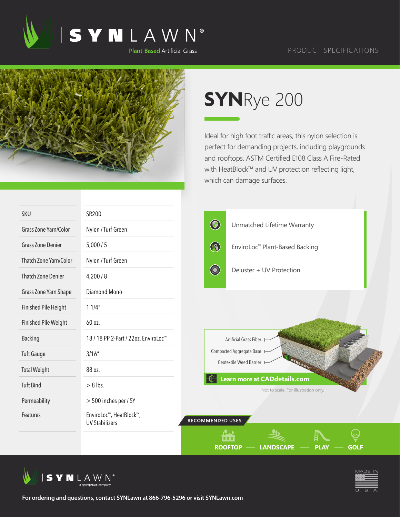

## PRODUCT SPECIFICATIONS



## **SYN**Rye 200

Ideal for high foot traffic areas, this nylon selection is perfect for demanding projects, including playgrounds and rooftops. ASTM Certified E108 Class A Fire-Rated with HeatBlock™ and UV protection reflecting light, which can damage surfaces.

| <b>SKU</b>                  | SR200                                            |                                                                      |  |  |
|-----------------------------|--------------------------------------------------|----------------------------------------------------------------------|--|--|
| Grass Zone Yarn/Color       | Nylon / Turf Green                               | $\bigcirc$<br>Unmatched Lifetime Warranty                            |  |  |
| <b>Grass Zone Denier</b>    | 5,000/5                                          | $\bigcirc$<br>EnviroLoc™ Plant-Based Backing                         |  |  |
| Thatch Zone Yarn/Color      | Nylon / Turf Green                               |                                                                      |  |  |
| <b>Thatch Zone Denier</b>   | 4,200/8                                          | <b>Company</b><br>Deluster + UV Protection                           |  |  |
| Grass Zone Yarn Shape       | Diamond Mono                                     |                                                                      |  |  |
| <b>Finished Pile Height</b> | 11/4"                                            |                                                                      |  |  |
| <b>Finished Pile Weight</b> | 60 oz.                                           |                                                                      |  |  |
| <b>Backing</b>              | 18 / 18 PP 2-Part / 22oz. EnviroLoc <sup>™</sup> | Artificial Grass Fiber                                               |  |  |
| <b>Tuft Gauge</b>           | 3/16''                                           | Compacted Aggregate Base                                             |  |  |
| <b>Total Weight</b>         | 88 oz.                                           | Geotextile Weed Barrier H                                            |  |  |
| <b>Tuft Bind</b>            | $> 8$ lbs.                                       | Learn more at CADdetails.com<br>Not to scale. For illustration only. |  |  |
| Permeability                | > 500 inches per / SY                            |                                                                      |  |  |
| Features                    | EnviroLoc™, HeatBlock™,<br><b>UV Stabilizers</b> | RECOMMENDED USES                                                     |  |  |
|                             |                                                  | <b>ROOFTOP</b><br><b>LANDSCAPE</b><br><b>PLAY</b><br><b>GOLF</b>     |  |  |